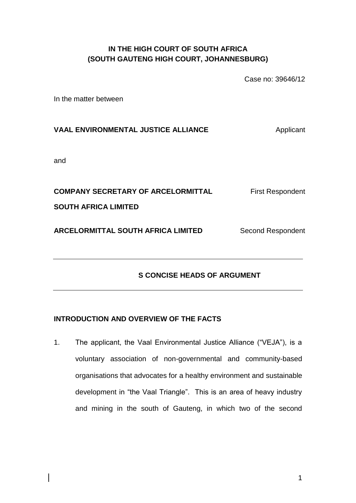#### **IN THE HIGH COURT OF SOUTH AFRICA (SOUTH GAUTENG HIGH COURT, JOHANNESBURG)**

Case no: 39646/12

In the matter between

# **VAAL ENVIRONMENTAL JUSTICE ALLIANCE Applicant**

and

**COMPANY SECRETARY OF ARCELORMITTAL First Respondent SOUTH AFRICA LIMITED ARCELORMITTAL SOUTH AFRICA LIMITED** Second Respondent

### **APPLICANT'S CONCISE HEADS OF ARGUMENT**

#### **INTRODUCTION AND OVERVIEW OF THE FACTS**

1. The applicant, the Vaal Environmental Justice Alliance ("VEJA"), is a voluntary association of non-governmental and community-based organisations that advocates for a healthy environment and sustainable development in "the Vaal Triangle". This is an area of heavy industry and mining in the south of Gauteng, in which two of the second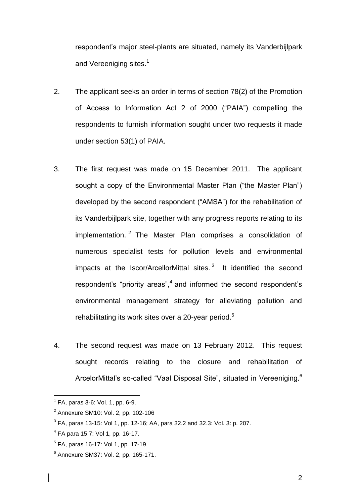respondent's major steel-plants are situated, namely its Vanderbijlpark and Vereeniging sites.<sup>1</sup>

- 2. The applicant seeks an order in terms of section 78(2) of the Promotion of Access to Information Act 2 of 2000 ("PAIA") compelling the respondents to furnish information sought under two requests it made under section 53(1) of PAIA.
- 3. The first request was made on 15 December 2011. The applicant sought a copy of the Environmental Master Plan ("the Master Plan") developed by the second respondent ("AMSA") for the rehabilitation of its Vanderbijlpark site, together with any progress reports relating to its implementation. <sup>2</sup> The Master Plan comprises a consolidation of numerous specialist tests for pollution levels and environmental impacts at the Iscor/ArcellorMittal sites.<sup>3</sup> It identified the second respondent's "priority areas",<sup>4</sup> and informed the second respondent's environmental management strategy for alleviating pollution and rehabilitating its work sites over a 20-year period.<sup>5</sup>
- 4. The second request was made on 13 February 2012. This request sought records relating to the closure and rehabilitation of ArcelorMittal's so-called "Vaal Disposal Site", situated in Vereeniging.<sup>6</sup>

2

 1 FA, paras 3-6: Vol. 1, pp. 6-9.

<sup>&</sup>lt;sup>2</sup> Annexure SM10: Vol. 2, pp. 102-106

 $^3$  FA, paras 13-15: Vol 1, pp. 12-16; AA, para 32.2 and 32.3: Vol. 3: p. 207.

<sup>4</sup> FA para 15.7: Vol 1, pp. 16-17.

<sup>&</sup>lt;sup>5</sup> FA, paras 16-17: Vol 1, pp. 17-19.

<sup>6</sup> Annexure SM37: Vol. 2, pp. 165-171.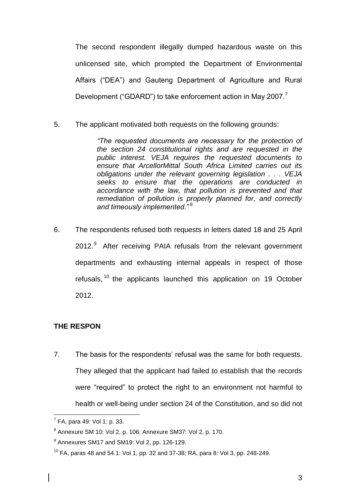The second respondent illegally dumped hazardous waste on this unlicensed site, which prompted the Department of Environmental Affairs ("DEA") and Gauteng Department of Agriculture and Rural Development ("GDARD") to take enforcement action in May 2007.<sup>7</sup>

5. The applicant motivated both requests on the following grounds:

*"The requested documents are necessary for the protection of the section 24 constitutional rights and are requested in the public interest. VEJA requires the requested documents to ensure that ArcellorMittal South Africa Limited carries out its obligations under the relevant governing legislation . . . VEJA seeks to ensure that the operations are conducted in accordance with the law, that pollution is prevented and that remediation of pollution is properly planned for, and correctly and timeously implemented."* <sup>8</sup>

6. The respondents refused both requests in letters dated 18 and 25 April 2012.<sup>9</sup> After receiving PAIA refusals from the relevant government departments and exhausting internal appeals in respect of those refusals, <sup>10</sup> the applicants launched this application on 19 October 2012.

#### **THE RESPONDENTS' GROUNDS OF REFUSAL**

7. The basis for the respondents' refusal was the same for both requests. They alleged that the applicant had failed to establish that the records were "required" to protect the right to an environment not harmful to health or well-being under section 24 of the Constitution, and so did not

 7 FA, para 49: Vol 1: p. 33.

 $^8$  Annexure SM 10: Vol 2, p. 106; Annexure SM37: Vol 2, p. 170.

 $^9$  Annexures SM17 and SM19: Vol 2, pp. 126-129.

 $10$  FA, paras 48 and 54.1: Vol 1, pp. 32 and 37-38; RA, para 8: Vol 3, pp. 248-249.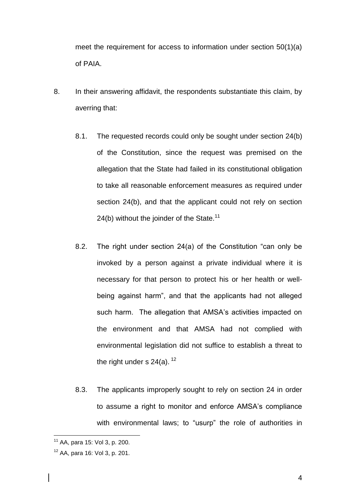meet the requirement for access to information under section 50(1)(a) of PAIA.

- 8. In their answering affidavit, the respondents substantiate this claim, by averring that:
	- 8.1. The requested records could only be sought under section 24(b) of the Constitution, since the request was premised on the allegation that the State had failed in its constitutional obligation to take all reasonable enforcement measures as required under section 24(b), and that the applicant could not rely on section 24(b) without the joinder of the State.<sup>11</sup>
	- 8.2. The right under section 24(a) of the Constitution "can only be invoked by a person against a private individual where it is necessary for that person to protect his or her health or wellbeing against harm", and that the applicants had not alleged such harm. The allegation that AMSA's activities impacted on the environment and that AMSA had not complied with environmental legislation did not suffice to establish a threat to the right under s  $24(a)$ . <sup>12</sup>
	- 8.3. The applicants improperly sought to rely on section 24 in order to assume a right to monitor and enforce AMSA's compliance with environmental laws; to "usurp" the role of authorities in

<sup>&</sup>lt;sup>11</sup> AA, para 15: Vol 3, p. 200.

<sup>12</sup> AA, para 16: Vol 3, p. 201.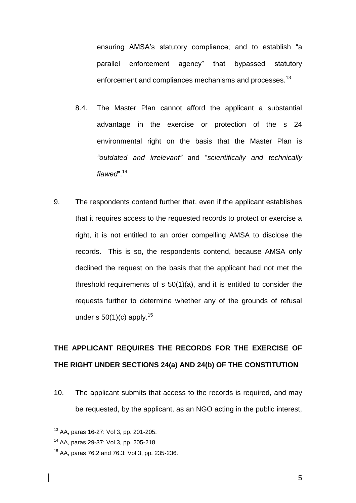ensuring AMSA's statutory compliance; and to establish "a parallel enforcement agency" that bypassed statutory enforcement and compliances mechanisms and processes.<sup>13</sup>

- 8.4. The Master Plan cannot afford the applicant a substantial advantage in the exercise or protection of the s 24 environmental right on the basis that the Master Plan is *"outdated and irrelevant"* and "*scientifically and technically flawed*".<sup>14</sup>
- 9. The respondents contend further that, even if the applicant establishes that it requires access to the requested records to protect or exercise a right, it is not entitled to an order compelling AMSA to disclose the records. This is so, the respondents contend, because AMSA only declined the request on the basis that the applicant had not met the threshold requirements of s 50(1)(a), and it is entitled to consider the requests further to determine whether any of the grounds of refusal under s  $50(1)(c)$  apply.<sup>15</sup>

## **THE APPLICANT REQUIRES THE RECORDS FOR THE EXERCISE OF THE RIGHT UNDER SECTIONS 24(a) AND 24(b) OF THE CONSTITUTION**

10. The applicant submits that access to the records is required, and may be requested, by the applicant, as an NGO acting in the public interest,

<sup>13</sup> AA, paras 16-27: Vol 3, pp. 201-205.

<sup>14</sup> AA, paras 29-37: Vol 3, pp. 205-218.

<sup>15</sup> AA, paras 76.2 and 76.3: Vol 3, pp. 235-236.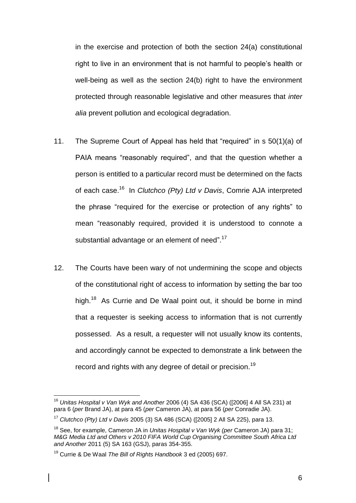in the exercise and protection of both the section 24(a) constitutional right to live in an environment that is not harmful to people's health or well-being as well as the section 24(b) right to have the environment protected through reasonable legislative and other measures that *inter alia* prevent pollution and ecological degradation.

- 11. The Supreme Court of Appeal has held that "required" in s 50(1)(a) of PAIA means "reasonably required", and that the question whether a person is entitled to a particular record must be determined on the facts of each case.<sup>16</sup> In *Clutchco (Pty) Ltd v Davis*, Comrie AJA interpreted the phrase "required for the exercise or protection of any rights" to mean "reasonably required, provided it is understood to connote a substantial advantage or an element of need". $17$
- 12. The Courts have been wary of not undermining the scope and objects of the constitutional right of access to information by setting the bar too high.<sup>18</sup> As Currie and De Waal point out, it should be borne in mind that a requester is seeking access to information that is not currently possessed. As a result, a requester will not usually know its contents, and accordingly cannot be expected to demonstrate a link between the record and rights with any degree of detail or precision.<sup>19</sup>

<sup>16</sup> *Unitas Hospital v Van Wyk and Another* 2006 (4) SA 436 (SCA) ([2006] 4 All SA 231) at para 6 (*per* Brand JA), at para 45 (*per* Cameron JA), at para 56 (*per* Conradie JA).

<sup>17</sup> *Clutchco (Pty) Ltd v Davis* 2005 (3) SA 486 (SCA) ([2005] 2 All SA 225), para 13.

<sup>18</sup> See, for example, Cameron JA in *Unitas Hospital v Van Wyk (per* Cameron JA) para 31; *M&G Media Ltd and Others v 2010 FIFA World Cup Organising Committee South Africa Ltd and Another* 2011 (5) SA 163 (GSJ), paras 354-355.

<sup>19</sup> Currie & De Waal *The Bill of Rights Handbook* 3 ed (2005) 697.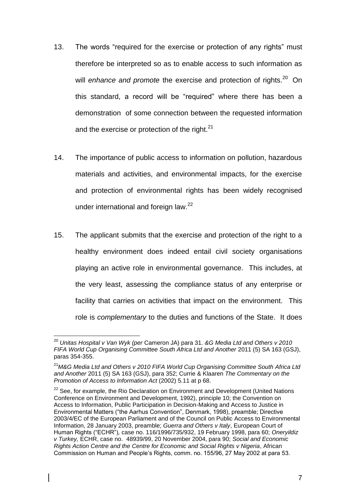- 13. The words "required for the exercise or protection of any rights" must therefore be interpreted so as to enable access to such information as will *enhance and promote* the exercise and protection of rights.<sup>20</sup> On this standard, a record will be "required" where there has been a demonstration of some connection between the requested information and the exercise or protection of the right. $21$
- 14. The importance of public access to information on pollution, hazardous materials and activities, and environmental impacts, for the exercise and protection of environmental rights has been widely recognised under international and foreign law.<sup>22</sup>
- 15. The applicant submits that the exercise and protection of the right to a healthy environment does indeed entail civil society organisations playing an active role in environmental governance. This includes, at the very least, assessing the compliance status of any enterprise or facility that carries on activities that impact on the environment. This role is *complementary* to the duties and functions of the State. It does

 $\overline{a}$ <sup>20</sup> *Unitas Hospital v Van Wyk (per* Cameron JA) para 31. *&G Media Ltd and Others v 2010 FIFA World Cup Organising Committee South Africa Ltd and Another* 2011 (5) SA 163 (GSJ), paras 354-355.

<sup>21</sup>*M&G Media Ltd and Others v 2010 FIFA World Cup Organising Committee South Africa Ltd and Another* 2011 (5) SA 163 (GSJ), para 352; Currie & Klaaren *The Commentary on the Promotion of Access to Information Act* (2002) 5.11 at p 68.

 $22$  See, for example, the Rio Declaration on Environment and Development (United Nations) Conference on Environment and Development, 1992), principle 10; the Convention on Access to Information, Public Participation in Decision-Making and Access to Justice in Environmental Matters ("the Aarhus Convention", Denmark, 1998), preamble; Directive 2003/4/EC of the European Parliament and of the Council on Public Access to Environmental Information, 28 January 2003, preamble; *Guerra and Others v Italy*, European Court of Human Rights ("ECHR")*,* case no. 116/1996/735/932, 19 February 1998, para 60; *Oneryildiz v Turkey,* ECHR, case no. 48939/99, 20 November 2004, para 90; *Social and Economic Rights Action Centre and the Centre for Economic and Social Rights v Nigeria*, African Commission on Human and People's Rights, comm. no. 155/96, 27 May 2002 at para 53.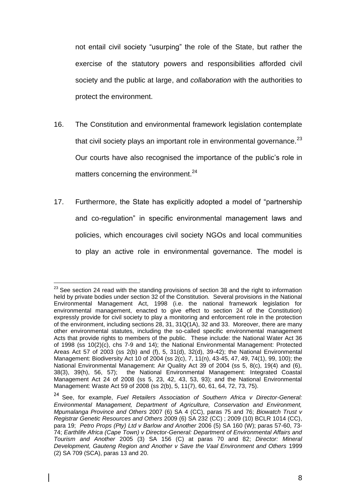not entail civil society "usurping" the role of the State, but rather the exercise of the statutory powers and responsibilities afforded civil society and the public at large, and *collaboration* with the authorities to protect the environment.

- 16. The Constitution and environmental framework legislation contemplate that civil society plays an important role in environmental governance. $^{23}$ Our courts have also recognised the importance of the public's role in matters concerning the environment.<sup>24</sup>
- 17. Furthermore, the State has explicitly adopted a model of "partnership and co-regulation" in specific environmental management laws and policies, which encourages civil society NGOs and local communities to play an active role in environmental governance. The model is

 $\overline{a}$ 

 $^{23}$  See section 24 read with the standing provisions of section 38 and the right to information held by private bodies under section 32 of the Constitution. Several provisions in the National Environmental Management Act, 1998 (i.e. the national framework legislation for environmental management, enacted to give effect to section 24 of the Constitution) expressly provide for civil society to play a monitoring and enforcement role in the protection of the environment, including sections 28, 31, 31Q(1A), 32 and 33. Moreover, there are many other environmental statutes, including the so-called specific environmental management Acts that provide rights to members of the public. These include: the National Water Act 36 of 1998 (ss 10(2)(c), chs 7-9 and 14); the National Environmental Management: Protected Areas Act 57 of 2003 (ss 2(b) and (f), 5, 31(d), 32(d), 39-42); the National Environmental Management: Biodiversity Act 10 of 2004 (ss 2(c), 7, 11(n), 43-45, 47, 49, 74(1), 99, 100); the National Environmental Management: Air Quality Act 39 of 2004 (ss 5, 8(c), 19(4) and (6), 38(3), 39(h), 56, 57); the National Environmental Management: Integrated Coastal Management Act 24 of 2008 (ss 5, 23, 42, 43, 53, 93); and the National Environmental Management: Waste Act 59 of 2008 (ss 2(b), 5, 11(7), 60, 61, 64, 72, 73, 75).

<sup>24</sup> See, for example, *Fuel Retailers Association of Southern Africa v Director-General: Environmental Management, Department of Agriculture, Conservation and Environment, Mpumalanga Province and Others* 2007 (6) SA 4 (CC), paras 75 and 76; *Biowatch Trust v Registrar Genetic Resources and Others* 2009 (6) SA 232 (CC) ; 2009 (10) BCLR 1014 (CC), para 19; *Petro Props (Pty) Ltd v Barlow and Another* 2006 (5) SA 160 (W); paras 57-60, 73- 74; *Earthlife Africa (Cape Town) v Director-General: Department of Environmental Affairs and Tourism and Another* 2005 (3) SA 156 (C) at paras 70 and 82; *Director: Mineral Development, Gauteng Region and Another v Save the Vaal Environment and Others* 1999 (2) SA 709 (SCA), paras 13 and 20.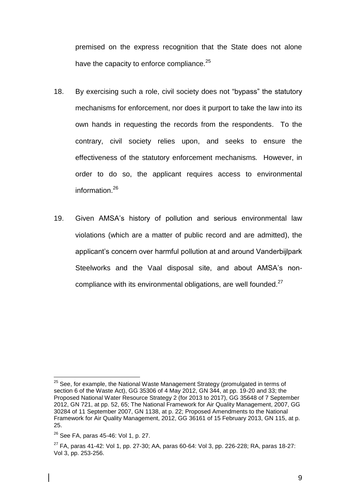premised on the express recognition that the State does not alone have the capacity to enforce compliance.<sup>25</sup>

- 18. By exercising such a role, civil society does not "bypass" the statutory mechanisms for enforcement, nor does it purport to take the law into its own hands in requesting the records from the respondents. To the contrary, civil society relies upon, and seeks to ensure the effectiveness of the statutory enforcement mechanisms*.* However, in order to do so, the applicant requires access to environmental information.<sup>26</sup>
- 19. Given AMSA's history of pollution and serious environmental law violations (which are a matter of public record and are admitted), the applicant's concern over harmful pollution at and around Vanderbijlpark Steelworks and the Vaal disposal site, and about AMSA's noncompliance with its environmental obligations, are well founded. $27$

<sup>&</sup>lt;sup>25</sup> See, for example, the National Waste Management Strategy (promulgated in terms of section 6 of the Waste Act), GG 35306 of 4 May 2012, GN 344, at pp. 19-20 and 33; the Proposed National Water Resource Strategy 2 (for 2013 to 2017), GG 35648 of 7 September 2012, GN 721, at pp. 52, 65; The National Framework for Air Quality Management, 2007, GG 30284 of 11 September 2007, GN 1138, at p. 22; Proposed Amendments to the National Framework for Air Quality Management, 2012, GG 36161 of 15 February 2013, GN 115, at p. 25.

 $26$  See FA, paras 45-46: Vol 1, p. 27.

 $27$  FA, paras 41-42: Vol 1, pp. 27-30; AA, paras 60-64: Vol 3, pp. 226-228; RA, paras 18-27: Vol 3, pp. 253-256.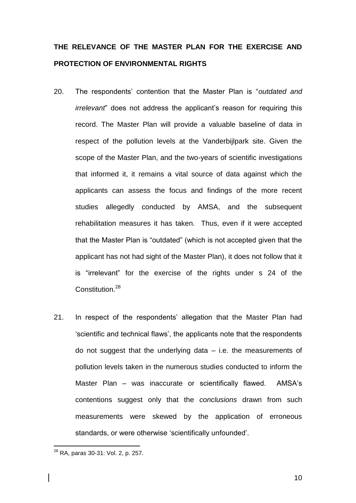## **THE RELEVANCE OF THE MASTER PLAN FOR THE EXERCISE AND PROTECTION OF ENVIRONMENTAL RIGHTS**

- 20. The respondents' contention that the Master Plan is "*outdated and irrelevant*" does not address the applicant's reason for requiring this record. The Master Plan will provide a valuable baseline of data in respect of the pollution levels at the Vanderbijlpark site. Given the scope of the Master Plan, and the two-years of scientific investigations that informed it, it remains a vital source of data against which the applicants can assess the focus and findings of the more recent studies allegedly conducted by AMSA, and the subsequent rehabilitation measures it has taken. Thus, even if it were accepted that the Master Plan is "outdated" (which is not accepted given that the applicant has not had sight of the Master Plan), it does not follow that it is "irrelevant" for the exercise of the rights under s 24 of the Constitution.<sup>28</sup>
- 21. In respect of the respondents' allegation that the Master Plan had 'scientific and technical flaws', the applicants note that the respondents do not suggest that the underlying data  $-$  i.e. the measurements of pollution levels taken in the numerous studies conducted to inform the Master Plan – was inaccurate or scientifically flawed. AMSA's contentions suggest only that the *conclusions* drawn from such measurements were skewed by the application of erroneous standards, or were otherwise 'scientifically unfounded'.

10

<sup>28</sup> RA, paras 30-31: Vol. 2, p. 257.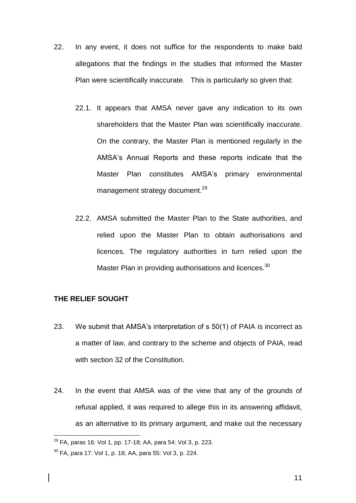- 22. In any event, it does not suffice for the respondents to make bald allegations that the findings in the studies that informed the Master Plan were scientifically inaccurate. This is particularly so given that:
	- 22.1. It appears that AMSA never gave any indication to its own shareholders that the Master Plan was scientifically inaccurate. On the contrary, the Master Plan is mentioned regularly in the AMSA's Annual Reports and these reports indicate that the Master Plan constitutes AMSA's primary environmental management strategy document.<sup>29</sup>
	- 22.2. AMSA submitted the Master Plan to the State authorities, and relied upon the Master Plan to obtain authorisations and licences. The regulatory authorities in turn relied upon the Master Plan in providing authorisations and licences.<sup>30</sup>

#### **THE RELIEF SOUGHT**

- 23. We submit that AMSA's interpretation of s 50(1) of PAIA is incorrect as a matter of law, and contrary to the scheme and objects of PAIA, read with section 32 of the Constitution.
- 24. In the event that AMSA was of the view that any of the grounds of refusal applied, it was required to allege this in its answering affidavit, as an alternative to its primary argument, and make out the necessary

 $^{29}$  FA, paras 16: Vol 1, pp. 17-18; AA, para 54: Vol 3, p. 223.

<sup>30</sup> FA, para 17: Vol 1, p. 18; AA, para 55: Vol 3, p. 224.